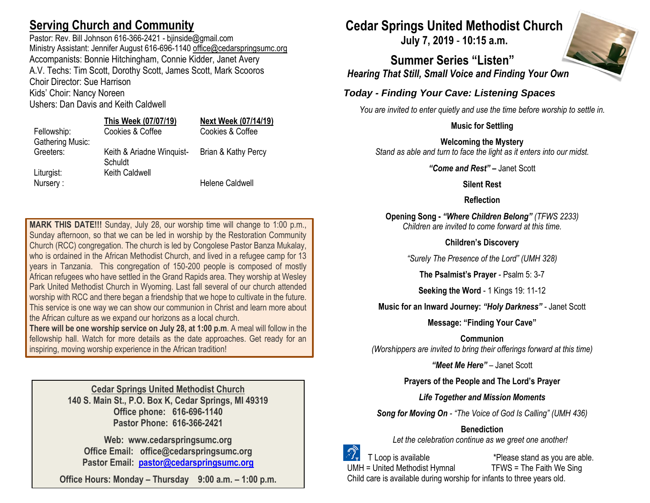# **Serving Church and Community**

Pastor: Rev. Bill Johnson 616-366-2421 - bjinside@gmail.com Ministry Assistant: Jennifer August 616-696-1140 [office@cedarspringsumc.org](mailto:office@cedarspringsumc.org) Accompanists: Bonnie Hitchingham, Connie Kidder, Janet Avery A.V. Techs: Tim Scott, Dorothy Scott, James Scott, Mark Scooros Choir Director: Sue Harrison Kids' Choir: Nancy Noreen

Ushers: Dan Davis and Keith Caldwell

#### **This Week (07/07/19) Next Week (07/14/19)** Fellowship: Cookies & Coffee Cookies & Coffee

# Liturgist: Keith Caldwell

Gathering Music:

Schuldt

Greeters: Keith & Ariadne Winquist-Brian & Kathy Percy

Nursery : **Nursery : Nursery** : **Nursery** :

**MARK THIS DATE!!!** Sunday, July 28, our worship time will change to 1:00 p.m., Sunday afternoon, so that we can be led in worship by the Restoration Community Church (RCC) congregation. The church is led by Congolese Pastor Banza Mukalay, who is ordained in the African Methodist Church, and lived in a refugee camp for 13 years in Tanzania. This congregation of 150-200 people is composed of mostly African refugees who have settled in the Grand Rapids area. They worship at Wesley Park United Methodist Church in Wyoming. Last fall several of our church attended worship with RCC and there began a friendship that we hope to cultivate in the future. This service is one way we can show our communion in Christ and learn more about the African culture as we expand our horizons as a local church.

**There will be one worship service on July 28, at 1:00 p.m**. A meal will follow in the fellowship hall. Watch for more details as the date approaches. Get ready for an inspiring, moving worship experience in the African tradition!

> **Cedar Springs United Methodist Church 140 S. Main St., P.O. Box K, Cedar Springs, MI 49319 Office phone: 616-696-1140 Pastor Phone: 616-366-2421**

**Web: www.cedarspringsumc.org Office Email: office@cedarspringsumc.org Pastor Email: [pastor@cedarspringsumc.org](mailto:pastor@cedarspringsumc.org)**

**Office Hours: Monday – Thursday 9:00 a.m. – 1:00 p.m.**

# **Cedar Springs United Methodist Church**

**July 7, 2019** - **10:15 a.m.**

**Summer Series "Listen"** *Hearing That Still, Small Voice and Finding Your Own*

# *Today - Finding Your Cave: Listening Spaces*

*You are invited to enter quietly and use the time before worship to settle in.*

## **Music for Settling**

**Welcoming the Mystery** *Stand as able and turn to face the light as it enters into our midst.*

*"Come and Rest"* **–** Janet Scott

### **Silent Rest**

### **Reflection**

**Opening Song -** *"Where Children Belong" (TFWS 2233) Children are invited to come forward at this time.*

### **Children's Discovery**

*"Surely The Presence of the Lord" (UMH 328)*

**The Psalmist's Prayer** - Psalm 5: 3-7

**Seeking the Word** - 1 Kings 19: 11-12

**Music for an Inward Journey:** *"Holy Darkness" -* Janet Scott

**Message: "Finding Your Cave"**

**Communion** *(Worshippers are invited to bring their offerings forward at this time)*

*"Meet Me Here"* – Janet Scott

**Prayers of the People and The Lord's Prayer**

## *Life Together and Mission Moments*

*Song for Moving On - "The Voice of God Is Calling" (UMH 436)*

# **Benediction**

*Let the celebration continue as we greet one another!*

 T Loop is available \*Please stand as you are able. UMH = United Methodist Hymnal TFWS = The Faith We Sing Child care is available during worship for infants to three years old.